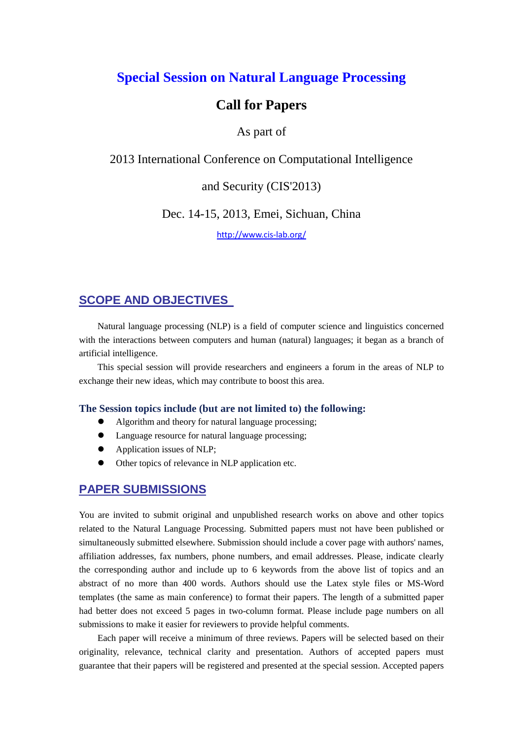# **Special Session on Natural Language Processing**

# **Call for Papers**

## As part of

2013 International Conference on Computational Intelligence

and Security (CIS'2013)

Dec. 14-15, 2013, Emei, Sichuan, China

<http://www.cis-lab.org/>

## **SCOPE AND OBJECTIVES**

Natural language processing (NLP) is a field of computer science and linguistics concerned with the interactions between computers and human (natural) languages; it began as a branch of artificial intelligence.

This special session will provide researchers and engineers a forum in the areas of NLP to exchange their new ideas, which may contribute to boost this area.

#### **The Session topics include (but are not limited to) the following:**

- Algorithm and theory for natural language processing;
- Language resource for natural language processing;
- Application issues of NLP;
- Other topics of relevance in NLP application etc.

## **PAPER SUBMISSIONS**

You are invited to submit original and unpublished research works on above and other topics related to the Natural Language Processing. Submitted papers must not have been published or simultaneously submitted elsewhere. Submission should include a cover page with authors' names, affiliation addresses, fax numbers, phone numbers, and email addresses. Please, indicate clearly the corresponding author and include up to 6 keywords from the above list of topics and an abstract of no more than 400 words. Authors should use the Latex style files or MS-Word templates (the same as main conference) to format their papers. The length of a submitted paper had better does not exceed 5 pages in two-column format. Please include page numbers on all submissions to make it easier for reviewers to provide helpful comments.

Each paper will receive a minimum of three reviews. Papers will be selected based on their originality, relevance, technical clarity and presentation. Authors of accepted papers must guarantee that their papers will be registered and presented at the special session. Accepted papers